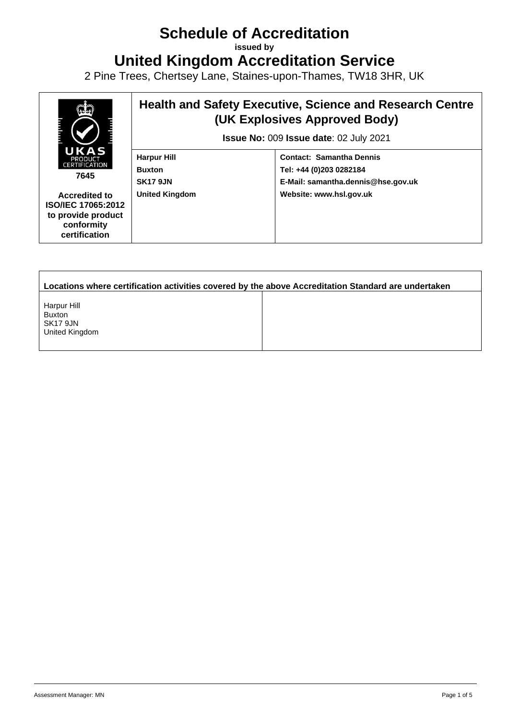## **Schedule of Accreditation**

**issued by**

**United Kingdom Accreditation Service**

2 Pine Trees, Chertsey Lane, Staines-upon-Thames, TW18 3HR, UK



| Locations where certification activities covered by the above Accreditation Standard are undertaken |  |  |  |  |  |
|-----------------------------------------------------------------------------------------------------|--|--|--|--|--|
| Harpur Hill<br><b>Buxton</b><br>SK17 9JN<br>United Kingdom                                          |  |  |  |  |  |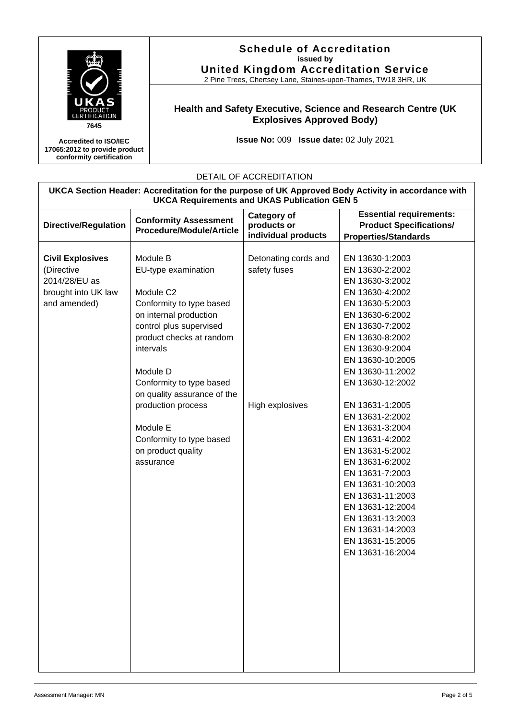

**Accredited to ISO/IEC 17065:2012 to provide product conformity certification**

## **Schedule of Accreditation issued by United Kingdom Accreditation Service**

2 Pine Trees, Chertsey Lane, Staines-upon-Thames, TW18 3HR, UK

## **Health and Safety Executive, Science and Research Centre (UK Explosives Approved Body)**

**Issue No:** 009 **Issue date:** 02 July 2021

## DETAIL OF ACCREDITATION

| UKCA Section Header: Accreditation for the purpose of UK Approved Body Activity in accordance with<br><b>UKCA Requirements and UKAS Publication GEN 5</b> |                                 |                      |                                |  |  |
|-----------------------------------------------------------------------------------------------------------------------------------------------------------|---------------------------------|----------------------|--------------------------------|--|--|
|                                                                                                                                                           |                                 | <b>Category of</b>   | <b>Essential requirements:</b> |  |  |
| <b>Directive/Regulation</b>                                                                                                                               | <b>Conformity Assessment</b>    | products or          | <b>Product Specifications/</b> |  |  |
|                                                                                                                                                           | <b>Procedure/Module/Article</b> | individual products  | <b>Properties/Standards</b>    |  |  |
|                                                                                                                                                           |                                 |                      |                                |  |  |
| <b>Civil Explosives</b>                                                                                                                                   | Module B                        | Detonating cords and | EN 13630-1:2003                |  |  |
| (Directive                                                                                                                                                | EU-type examination             | safety fuses         | EN 13630-2:2002                |  |  |
| 2014/28/EU as                                                                                                                                             |                                 |                      | EN 13630-3:2002                |  |  |
| brought into UK law                                                                                                                                       | Module C <sub>2</sub>           |                      | EN 13630-4:2002                |  |  |
| and amended)                                                                                                                                              | Conformity to type based        |                      | EN 13630-5:2003                |  |  |
|                                                                                                                                                           | on internal production          |                      | EN 13630-6:2002                |  |  |
|                                                                                                                                                           | control plus supervised         |                      | EN 13630-7:2002                |  |  |
|                                                                                                                                                           | product checks at random        |                      | EN 13630-8:2002                |  |  |
|                                                                                                                                                           | intervals                       |                      | EN 13630-9:2004                |  |  |
|                                                                                                                                                           |                                 |                      | EN 13630-10:2005               |  |  |
|                                                                                                                                                           | Module D                        |                      | EN 13630-11:2002               |  |  |
|                                                                                                                                                           | Conformity to type based        |                      | EN 13630-12:2002               |  |  |
|                                                                                                                                                           | on quality assurance of the     |                      |                                |  |  |
|                                                                                                                                                           | production process              | High explosives      | EN 13631-1:2005                |  |  |
|                                                                                                                                                           |                                 |                      | EN 13631-2:2002                |  |  |
|                                                                                                                                                           | Module E                        |                      | EN 13631-3:2004                |  |  |
|                                                                                                                                                           | Conformity to type based        |                      | EN 13631-4:2002                |  |  |
|                                                                                                                                                           | on product quality              |                      | EN 13631-5:2002                |  |  |
|                                                                                                                                                           | assurance                       |                      | EN 13631-6:2002                |  |  |
|                                                                                                                                                           |                                 |                      | EN 13631-7:2003                |  |  |
|                                                                                                                                                           |                                 |                      | EN 13631-10:2003               |  |  |
|                                                                                                                                                           |                                 |                      | EN 13631-11:2003               |  |  |
|                                                                                                                                                           |                                 |                      | EN 13631-12:2004               |  |  |
|                                                                                                                                                           |                                 |                      | EN 13631-13:2003               |  |  |
|                                                                                                                                                           |                                 |                      | EN 13631-14:2003               |  |  |
|                                                                                                                                                           |                                 |                      | EN 13631-15:2005               |  |  |
|                                                                                                                                                           |                                 |                      | EN 13631-16:2004               |  |  |
|                                                                                                                                                           |                                 |                      |                                |  |  |
|                                                                                                                                                           |                                 |                      |                                |  |  |
|                                                                                                                                                           |                                 |                      |                                |  |  |
|                                                                                                                                                           |                                 |                      |                                |  |  |
|                                                                                                                                                           |                                 |                      |                                |  |  |
|                                                                                                                                                           |                                 |                      |                                |  |  |
|                                                                                                                                                           |                                 |                      |                                |  |  |
|                                                                                                                                                           |                                 |                      |                                |  |  |
|                                                                                                                                                           |                                 |                      |                                |  |  |
|                                                                                                                                                           |                                 |                      |                                |  |  |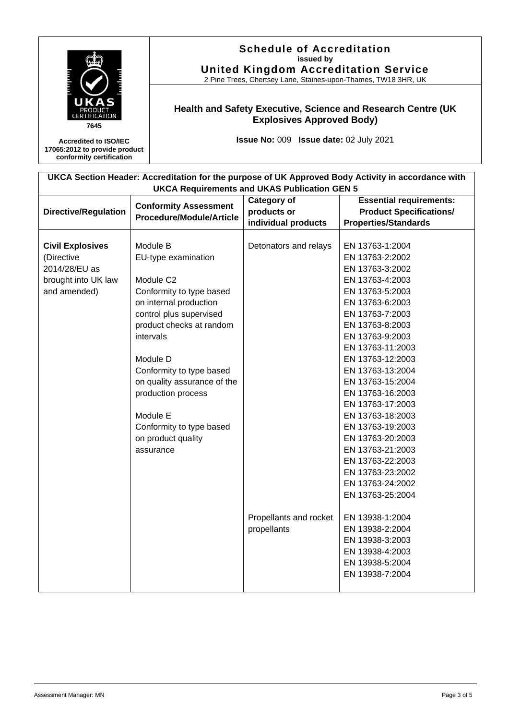| PRODUC'<br><b>ERTIFICATION</b><br>7645                                                                                                                    |  | <b>Schedule of Accreditation</b><br>issued by<br><b>United Kingdom Accreditation Service</b><br>2 Pine Trees, Chertsey Lane, Staines-upon-Thames, TW18 3HR, UK                                                                                                                                                                                 |                                                                |                                                                                                                                                                                                                                                                                                                                                                                                                                                                                                                                                                                   |  |  |
|-----------------------------------------------------------------------------------------------------------------------------------------------------------|--|------------------------------------------------------------------------------------------------------------------------------------------------------------------------------------------------------------------------------------------------------------------------------------------------------------------------------------------------|----------------------------------------------------------------|-----------------------------------------------------------------------------------------------------------------------------------------------------------------------------------------------------------------------------------------------------------------------------------------------------------------------------------------------------------------------------------------------------------------------------------------------------------------------------------------------------------------------------------------------------------------------------------|--|--|
|                                                                                                                                                           |  | Health and Safety Executive, Science and Research Centre (UK<br><b>Explosives Approved Body)</b>                                                                                                                                                                                                                                               |                                                                |                                                                                                                                                                                                                                                                                                                                                                                                                                                                                                                                                                                   |  |  |
| <b>Accredited to ISO/IEC</b><br>17065:2012 to provide product<br>conformity certification                                                                 |  | Issue No: 009 Issue date: 02 July 2021                                                                                                                                                                                                                                                                                                         |                                                                |                                                                                                                                                                                                                                                                                                                                                                                                                                                                                                                                                                                   |  |  |
| UKCA Section Header: Accreditation for the purpose of UK Approved Body Activity in accordance with<br><b>UKCA Requirements and UKAS Publication GEN 5</b> |  |                                                                                                                                                                                                                                                                                                                                                |                                                                |                                                                                                                                                                                                                                                                                                                                                                                                                                                                                                                                                                                   |  |  |
| <b>Directive/Regulation</b>                                                                                                                               |  | <b>Conformity Assessment</b><br><b>Procedure/Module/Article</b>                                                                                                                                                                                                                                                                                | <b>Category of</b><br>products or<br>individual products       | <b>Essential requirements:</b><br><b>Product Specifications/</b><br><b>Properties/Standards</b>                                                                                                                                                                                                                                                                                                                                                                                                                                                                                   |  |  |
| <b>Civil Explosives</b><br>(Directive<br>2014/28/EU as<br>brought into UK law<br>and amended)                                                             |  | Module B<br>EU-type examination<br>Module C2<br>Conformity to type based<br>on internal production<br>control plus supervised<br>product checks at random<br>intervals<br>Module D<br>Conformity to type based<br>on quality assurance of the<br>production process<br>Module E<br>Conformity to type based<br>on product quality<br>assurance | Detonators and relays<br>Propellants and rocket<br>propellants | EN 13763-1:2004<br>EN 13763-2:2002<br>EN 13763-3:2002<br>EN 13763-4:2003<br>EN 13763-5:2003<br>EN 13763-6:2003<br>EN 13763-7:2003<br>EN 13763-8:2003<br>EN 13763-9:2003<br>EN 13763-11:2003<br>EN 13763-12:2003<br>EN 13763-13:2004<br>EN 13763-15:2004<br>EN 13763-16:2003<br>EN 13763-17:2003<br>EN 13763-18:2003<br>EN 13763-19:2003<br>EN 13763-20:2003<br>EN 13763-21:2003<br>EN 13763-22:2003<br>EN 13763-23:2002<br>EN 13763-24:2002<br>EN 13763-25:2004<br>EN 13938-1:2004<br>EN 13938-2:2004<br>EN 13938-3:2003<br>EN 13938-4:2003<br>EN 13938-5:2004<br>EN 13938-7:2004 |  |  |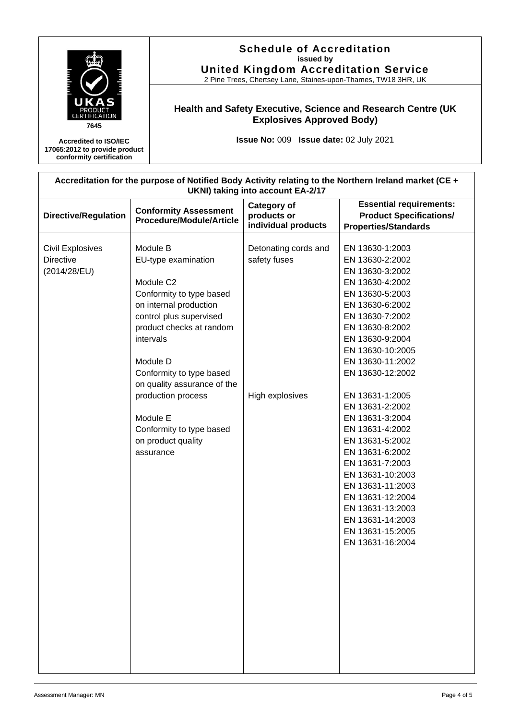

**Schedule of Accreditation**